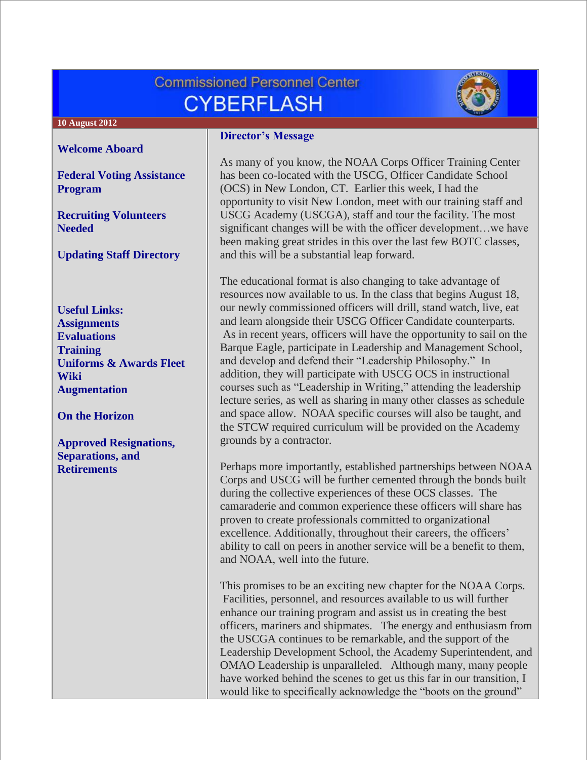# **Commissioned Personnel Center CYBERFLASH**



#### **10 August 2012**

**[Welcome Aboard](#page-1-0)**

**[Federal Voting Assistance](#page-1-1)  [Program](#page-1-1)**

**[Recruiting Volunteers](#page-1-2)  [Needed](#page-1-2)**

**[Updating Staff Directory](#page-1-3)**

**Useful Links: [Assignments](http://www.corpscpc.noaa.gov/careermgmt/assignments.html) [Evaluations](http://www.corpscpc.noaa.gov/careermgmt/evaluation.html) [Training](http://www.corpscpc.noaa.gov/careermgmt/training.html) [Uniforms & Awards](http://www.corpscpc.noaa.gov/perservices/awards.html) [Fleet](https://www.st.nmfs.noaa.gov/confluence/display/FleetWiki/Home)  [Wiki](https://www.st.nmfs.noaa.gov/confluence/display/FleetWiki/Home) [Augmentation](http://www.moc.noaa.gov/augmentation-2.html)**

**[On the Horizon](#page-2-0)**

**[Approved Resignations,](#page-2-1)  [Separations, and](#page-2-1)  [Retirements](#page-2-1)**

#### **Director's Message**

As many of you know, the NOAA Corps Officer Training Center has been co-located with the USCG, Officer Candidate School (OCS) in New London, CT. Earlier this week, I had the opportunity to visit New London, meet with our training staff and USCG Academy (USCGA), staff and tour the facility. The most significant changes will be with the officer development…we have been making great strides in this over the last few BOTC classes, and this will be a substantial leap forward.

The educational format is also changing to take advantage of resources now available to us. In the class that begins August 18, our newly commissioned officers will drill, stand watch, live, eat and learn alongside their USCG Officer Candidate counterparts. As in recent years, officers will have the opportunity to sail on the Barque Eagle, participate in Leadership and Management School, and develop and defend their "Leadership Philosophy." In addition, they will participate with USCG OCS in instructional courses such as "Leadership in Writing," attending the leadership lecture series, as well as sharing in many other classes as schedule and space allow. NOAA specific courses will also be taught, and the STCW required curriculum will be provided on the Academy grounds by a contractor.

Perhaps more importantly, established partnerships between NOAA Corps and USCG will be further cemented through the bonds built during the collective experiences of these OCS classes. The camaraderie and common experience these officers will share has proven to create professionals committed to organizational excellence. Additionally, throughout their careers, the officers' ability to call on peers in another service will be a benefit to them, and NOAA, well into the future.

This promises to be an exciting new chapter for the NOAA Corps. Facilities, personnel, and resources available to us will further enhance our training program and assist us in creating the best officers, mariners and shipmates. The energy and enthusiasm from the USCGA continues to be remarkable, and the support of the Leadership Development School, the Academy Superintendent, and OMAO Leadership is unparalleled. Although many, many people have worked behind the scenes to get us this far in our transition, I would like to specifically acknowledge the "boots on the ground"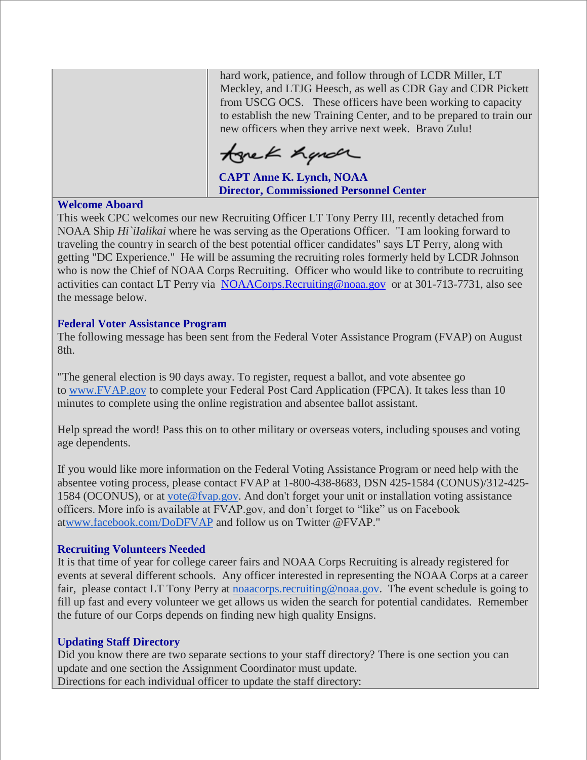hard work, patience, and follow through of LCDR Miller, LT Meckley, and LTJG Heesch, as well as CDR Gay and CDR Pickett from USCG OCS. These officers have been working to capacity to establish the new Training Center, and to be prepared to train our new officers when they arrive next week. Bravo Zulu!

tonek hande

 **CAPT Anne K. Lynch, NOAA Director, Commissioned Personnel Center**

#### <span id="page-1-0"></span>**Welcome Aboard**

This week CPC welcomes our new Recruiting Officer LT Tony Perry III, recently detached from NOAA Ship *Hi`iIalikai* where he was serving as the Operations Officer. "I am looking forward to traveling the country in search of the best potential officer candidates" says LT Perry, along with getting "DC Experience." He will be assuming the recruiting roles formerly held by LCDR Johnson who is now the Chief of NOAA Corps Recruiting. Officer who would like to contribute to recruiting activities can contact LT Perry via NOAACorps. Recruiting@noaa.gov or at 301-713-7731, also see the message below.

## <span id="page-1-1"></span>**Federal Voter Assistance Program**

The following message has been sent from the Federal Voter Assistance Program (FVAP) on August 8th.

"The general election is 90 days away. To register, request a ballot, and vote absentee go to [www.FVAP.gov](http://www.fvap.gov/) to complete your Federal Post Card Application (FPCA). It takes less than 10 minutes to complete using the online registration and absentee ballot assistant.

Help spread the word! Pass this on to other military or overseas voters, including spouses and voting age dependents.

If you would like more information on the Federal Voting Assistance Program or need help with the absentee voting process, please contact FVAP at 1-800-438-8683, DSN 425-1584 (CONUS)/312-425- 1584 (OCONUS), or at [vote@fvap.gov.](mailto:vote@fvap.gov) And don't forget your unit or installation voting assistance officers. More info is available at FVAP.gov, and don't forget to "like" us on Facebook a[twww.facebook.com/DoDFVAP](http://www.facebook.com/DoDFVAP) and follow us on Twitter @FVAP."

### <span id="page-1-2"></span>**Recruiting Volunteers Needed**

It is that time of year for college career fairs and NOAA Corps Recruiting is already registered for events at several different schools. Any officer interested in representing the NOAA Corps at a career fair, please contact LT Tony Perry at [noaacorps.recruiting@noaa.gov.](mailto:noaacorps.recruiting@noaa.gov) The event schedule is going to fill up fast and every volunteer we get allows us widen the search for potential candidates. Remember the future of our Corps depends on finding new high quality Ensigns.

### <span id="page-1-3"></span>**Updating Staff Directory**

Did you know there are two separate sections to your staff directory? There is one section you can update and one section the Assignment Coordinator must update. Directions for each individual officer to update the staff directory: